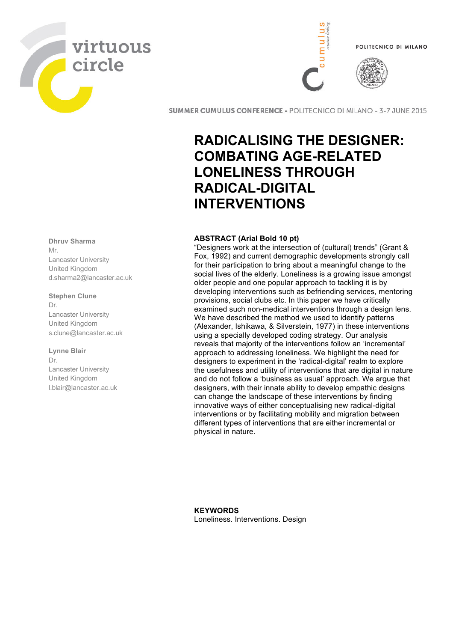



**SUMMER CUMULUS CONFERENCE - POLITECNICO DI MILANO - 3-7 JUNE 2015** 

# **RADICALISING THE DESIGNER: COMBATING AGE-RELATED LONELINESS THROUGH RADICAL-DIGITAL INTERVENTIONS**

# **ABSTRACT (Arial Bold 10 pt)**

"Designers work at the intersection of (cultural) trends" (Grant & Fox, 1992) and current demographic developments strongly call for their participation to bring about a meaningful change to the social lives of the elderly. Loneliness is a growing issue amongst older people and one popular approach to tackling it is by developing interventions such as befriending services, mentoring provisions, social clubs etc. In this paper we have critically examined such non-medical interventions through a design lens. We have described the method we used to identify patterns (Alexander, Ishikawa, & Silverstein, 1977) in these interventions using a specially developed coding strategy. Our analysis reveals that majority of the interventions follow an 'incremental' approach to addressing loneliness. We highlight the need for designers to experiment in the 'radical-digital' realm to explore the usefulness and utility of interventions that are digital in nature and do not follow a 'business as usual' approach. We argue that designers, with their innate ability to develop empathic designs can change the landscape of these interventions by finding innovative ways of either conceptualising new radical-digital interventions or by facilitating mobility and migration between different types of interventions that are either incremental or physical in nature.

**KEYWORDS** Loneliness. Interventions. Design

# **Dhruv Sharma** Mr.

Lancaster University United Kingdom d.sharma2@lancaster.ac.uk

# **Stephen Clune**

Dr. Lancaster University United Kingdom s.clune@lancaster.ac.uk

# **Lynne Blair**

Dr. Lancaster University United Kingdom l.blair@lancaster.ac.uk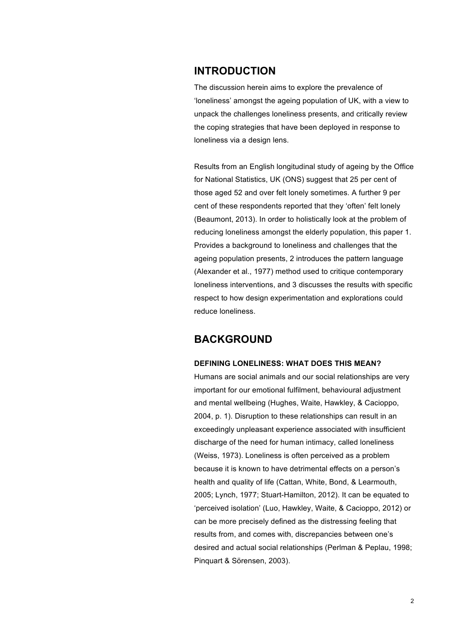# **INTRODUCTION**

The discussion herein aims to explore the prevalence of 'loneliness' amongst the ageing population of UK, with a view to unpack the challenges loneliness presents, and critically review the coping strategies that have been deployed in response to loneliness via a design lens.

Results from an English longitudinal study of ageing by the Office for National Statistics, UK (ONS) suggest that 25 per cent of those aged 52 and over felt lonely sometimes. A further 9 per cent of these respondents reported that they 'often' felt lonely (Beaumont, 2013). In order to holistically look at the problem of reducing loneliness amongst the elderly population, this paper 1. Provides a background to loneliness and challenges that the ageing population presents, 2 introduces the pattern language (Alexander et al., 1977) method used to critique contemporary loneliness interventions, and 3 discusses the results with specific respect to how design experimentation and explorations could reduce loneliness.

# **BACKGROUND**

# **DEFINING LONELINESS: WHAT DOES THIS MEAN?**

Humans are social animals and our social relationships are very important for our emotional fulfilment, behavioural adjustment and mental wellbeing (Hughes, Waite, Hawkley, & Cacioppo, 2004, p. 1). Disruption to these relationships can result in an exceedingly unpleasant experience associated with insufficient discharge of the need for human intimacy, called loneliness (Weiss, 1973). Loneliness is often perceived as a problem because it is known to have detrimental effects on a person's health and quality of life (Cattan, White, Bond, & Learmouth, 2005; Lynch, 1977; Stuart-Hamilton, 2012). It can be equated to 'perceived isolation' (Luo, Hawkley, Waite, & Cacioppo, 2012) or can be more precisely defined as the distressing feeling that results from, and comes with, discrepancies between one's desired and actual social relationships (Perlman & Peplau, 1998; Pinquart & Sörensen, 2003).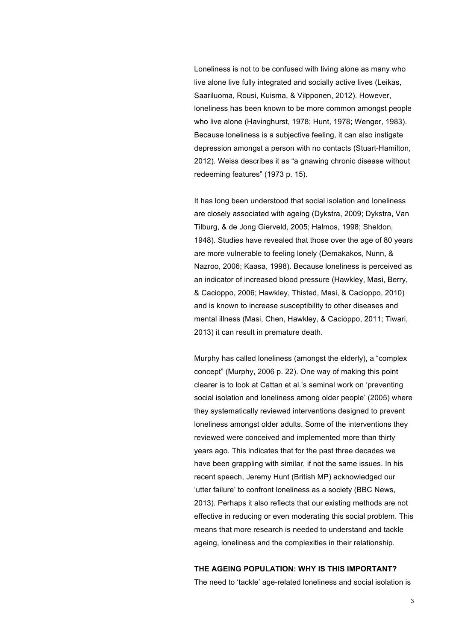Loneliness is not to be confused with living alone as many who live alone live fully integrated and socially active lives (Leikas, Saariluoma, Rousi, Kuisma, & Vilpponen, 2012). However, loneliness has been known to be more common amongst people who live alone (Havinghurst, 1978; Hunt, 1978; Wenger, 1983). Because loneliness is a subjective feeling, it can also instigate depression amongst a person with no contacts (Stuart-Hamilton, 2012). Weiss describes it as "a gnawing chronic disease without redeeming features" (1973 p. 15).

It has long been understood that social isolation and loneliness are closely associated with ageing (Dykstra, 2009; Dykstra, Van Tilburg, & de Jong Gierveld, 2005; Halmos, 1998; Sheldon, 1948). Studies have revealed that those over the age of 80 years are more vulnerable to feeling lonely (Demakakos, Nunn, & Nazroo, 2006; Kaasa, 1998). Because loneliness is perceived as an indicator of increased blood pressure (Hawkley, Masi, Berry, & Cacioppo, 2006; Hawkley, Thisted, Masi, & Cacioppo, 2010) and is known to increase susceptibility to other diseases and mental illness (Masi, Chen, Hawkley, & Cacioppo, 2011; Tiwari, 2013) it can result in premature death.

Murphy has called loneliness (amongst the elderly), a "complex concept" (Murphy, 2006 p. 22). One way of making this point clearer is to look at Cattan et al.'s seminal work on 'preventing social isolation and loneliness among older people' (2005) where they systematically reviewed interventions designed to prevent loneliness amongst older adults. Some of the interventions they reviewed were conceived and implemented more than thirty years ago. This indicates that for the past three decades we have been grappling with similar, if not the same issues. In his recent speech, Jeremy Hunt (British MP) acknowledged our 'utter failure' to confront loneliness as a society (BBC News, 2013). Perhaps it also reflects that our existing methods are not effective in reducing or even moderating this social problem. This means that more research is needed to understand and tackle ageing, loneliness and the complexities in their relationship.

#### **THE AGEING POPULATION: WHY IS THIS IMPORTANT?**

The need to 'tackle' age-related loneliness and social isolation is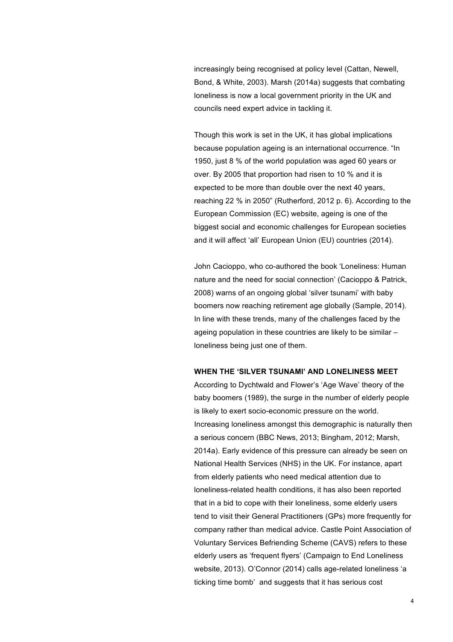increasingly being recognised at policy level (Cattan, Newell, Bond, & White, 2003). Marsh (2014a) suggests that combating loneliness is now a local government priority in the UK and councils need expert advice in tackling it.

Though this work is set in the UK, it has global implications because population ageing is an international occurrence. "In 1950, just 8 % of the world population was aged 60 years or over. By 2005 that proportion had risen to 10 % and it is expected to be more than double over the next 40 years, reaching 22 % in 2050" (Rutherford, 2012 p. 6). According to the European Commission (EC) website, ageing is one of the biggest social and economic challenges for European societies and it will affect 'all' European Union (EU) countries (2014).

John Cacioppo, who co-authored the book 'Loneliness: Human nature and the need for social connection' (Cacioppo & Patrick, 2008) warns of an ongoing global 'silver tsunami' with baby boomers now reaching retirement age globally (Sample, 2014). In line with these trends, many of the challenges faced by the ageing population in these countries are likely to be similar – loneliness being just one of them.

## **WHEN THE 'SILVER TSUNAMI' AND LONELINESS MEET**

According to Dychtwald and Flower's 'Age Wave' theory of the baby boomers (1989), the surge in the number of elderly people is likely to exert socio-economic pressure on the world. Increasing loneliness amongst this demographic is naturally then a serious concern (BBC News, 2013; Bingham, 2012; Marsh, 2014a). Early evidence of this pressure can already be seen on National Health Services (NHS) in the UK. For instance, apart from elderly patients who need medical attention due to loneliness-related health conditions, it has also been reported that in a bid to cope with their loneliness, some elderly users tend to visit their General Practitioners (GPs) more frequently for company rather than medical advice. Castle Point Association of Voluntary Services Befriending Scheme (CAVS) refers to these elderly users as 'frequent flyers' (Campaign to End Loneliness website, 2013). O'Connor (2014) calls age-related loneliness 'a ticking time bomb' and suggests that it has serious cost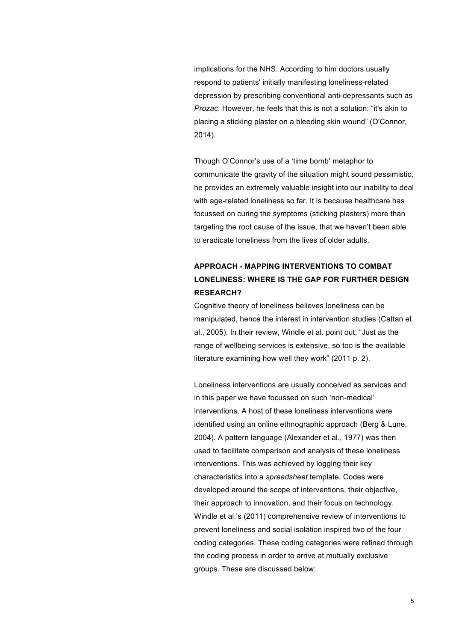implications for the NHS. According to him doctors usually respond to patients' initially manifesting loneliness-related depression by prescribing conventional anti-depressants such as *Prozac*. However, he feels that this is not a solution: "it's akin to placing a sticking plaster on a bleeding skin wound" (O'Connor, 2014).

Though O'Connor's use of a 'time bomb' metaphor to communicate the gravity of the situation might sound pessimistic, he provides an extremely valuable insight into our inability to deal with age-related loneliness so far. It is because healthcare has focussed on curing the symptoms (sticking plasters) more than targeting the root cause of the issue, that we haven't been able to eradicate loneliness from the lives of older adults.

# **APPROACH - MAPPING INTERVENTIONS TO COMBAT LONELINESS: WHERE IS THE GAP FOR FURTHER DESIGN RESEARCH?**

Cognitive theory of loneliness believes loneliness can be manipulated, hence the interest in intervention studies (Cattan et al., 2005). In their review, Windle et al. point out, "Just as the range of wellbeing services is extensive, so too is the available literature examining how well they work" (2011 p. 2).

Loneliness interventions are usually conceived as services and in this paper we have focussed on such 'non-medical' interventions. A host of these loneliness interventions were identified using an online ethnographic approach (Berg & Lune, 2004). A pattern language (Alexander et al., 1977) was then used to facilitate comparison and analysis of these loneliness interventions. This was achieved by logging their key characteristics into a *spreadsheet* template. Codes were developed around the scope of interventions, their objective, their approach to innovation, and their focus on technology. Windle et al.'s (2011) comprehensive review of interventions to prevent loneliness and social isolation inspired two of the four coding categories. These coding categories were refined through the coding process in order to arrive at mutually exclusive groups. These are discussed below: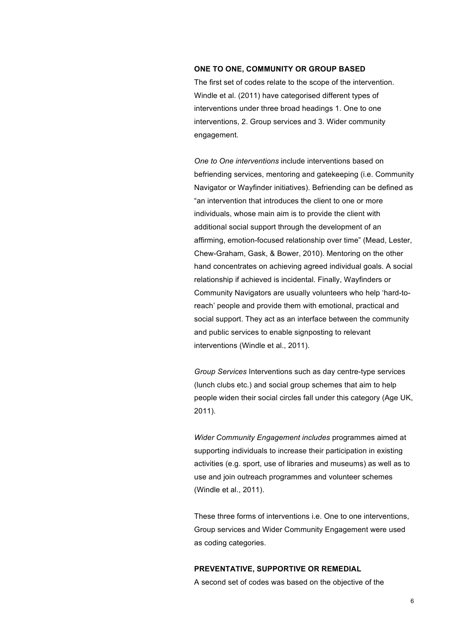#### **ONE TO ONE, COMMUNITY OR GROUP BASED**

The first set of codes relate to the scope of the intervention. Windle et al. (2011) have categorised different types of interventions under three broad headings 1. One to one interventions, 2. Group services and 3. Wider community engagement.

*One to One interventions* include interventions based on befriending services, mentoring and gatekeeping (i.e. Community Navigator or Wayfinder initiatives). Befriending can be defined as "an intervention that introduces the client to one or more individuals, whose main aim is to provide the client with additional social support through the development of an affirming, emotion-focused relationship over time" (Mead, Lester, Chew-Graham, Gask, & Bower, 2010). Mentoring on the other hand concentrates on achieving agreed individual goals. A social relationship if achieved is incidental. Finally, Wayfinders or Community Navigators are usually volunteers who help 'hard-toreach' people and provide them with emotional, practical and social support. They act as an interface between the community and public services to enable signposting to relevant interventions (Windle et al., 2011).

*Group Services* Interventions such as day centre-type services (lunch clubs etc.) and social group schemes that aim to help people widen their social circles fall under this category (Age UK, 2011).

*Wider Community Engagement includes* programmes aimed at supporting individuals to increase their participation in existing activities (e.g. sport, use of libraries and museums) as well as to use and join outreach programmes and volunteer schemes (Windle et al., 2011).

These three forms of interventions i.e. One to one interventions, Group services and Wider Community Engagement were used as coding categories.

#### **PREVENTATIVE, SUPPORTIVE OR REMEDIAL**

A second set of codes was based on the objective of the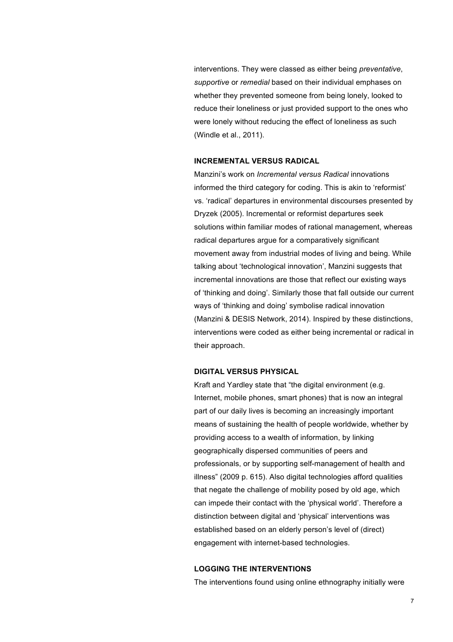interventions. They were classed as either being *preventative*, *supportive* or *remedial* based on their individual emphases on whether they prevented someone from being lonely, looked to reduce their loneliness or just provided support to the ones who were lonely without reducing the effect of loneliness as such (Windle et al., 2011).

#### **INCREMENTAL VERSUS RADICAL**

Manzini's work on *Incremental versus Radical* innovations informed the third category for coding. This is akin to 'reformist' vs. 'radical' departures in environmental discourses presented by Dryzek (2005). Incremental or reformist departures seek solutions within familiar modes of rational management, whereas radical departures argue for a comparatively significant movement away from industrial modes of living and being. While talking about 'technological innovation', Manzini suggests that incremental innovations are those that reflect our existing ways of 'thinking and doing'. Similarly those that fall outside our current ways of 'thinking and doing' symbolise radical innovation (Manzini & DESIS Network, 2014). Inspired by these distinctions, interventions were coded as either being incremental or radical in their approach.

#### **DIGITAL VERSUS PHYSICAL**

Kraft and Yardley state that "the digital environment (e.g. Internet, mobile phones, smart phones) that is now an integral part of our daily lives is becoming an increasingly important means of sustaining the health of people worldwide, whether by providing access to a wealth of information, by linking geographically dispersed communities of peers and professionals, or by supporting self-management of health and illness" (2009 p. 615). Also digital technologies afford qualities that negate the challenge of mobility posed by old age, which can impede their contact with the 'physical world'. Therefore a distinction between digital and 'physical' interventions was established based on an elderly person's level of (direct) engagement with internet-based technologies.

## **LOGGING THE INTERVENTIONS**

The interventions found using online ethnography initially were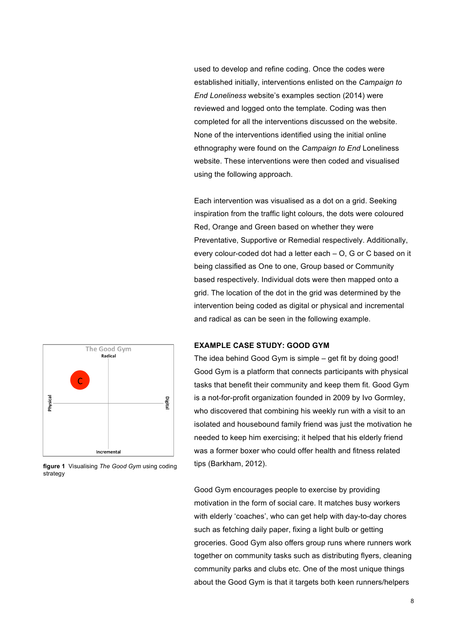used to develop and refine coding. Once the codes were established initially, interventions enlisted on the *Campaign to End Loneliness* website's examples section (2014) were reviewed and logged onto the template. Coding was then completed for all the interventions discussed on the website. None of the interventions identified using the initial online ethnography were found on the *Campaign to End* Loneliness website. These interventions were then coded and visualised using the following approach.

Each intervention was visualised as a dot on a grid. Seeking inspiration from the traffic light colours, the dots were coloured Red, Orange and Green based on whether they were Preventative, Supportive or Remedial respectively. Additionally, every colour-coded dot had a letter each – O, G or C based on it being classified as One to one, Group based or Community based respectively. Individual dots were then mapped onto a grid. The location of the dot in the grid was determined by the intervention being coded as digital or physical and incremental and radical as can be seen in the following example.



The idea behind Good Gym is simple – get fit by doing good!

**EXAMPLE CASE STUDY: GOOD GYM**

Good Gym is a platform that connects participants with physical tasks that benefit their community and keep them fit. Good Gym is a not-for-profit organization founded in 2009 by Ivo Gormley, who discovered that combining his weekly run with a visit to an isolated and housebound family friend was just the motivation he needed to keep him exercising; it helped that his elderly friend was a former boxer who could offer health and fitness related tips (Barkham, 2012).

Good Gym encourages people to exercise by providing motivation in the form of social care. It matches busy workers with elderly 'coaches', who can get help with day-to-day chores such as fetching daily paper, fixing a light bulb or getting groceries. Good Gym also offers group runs where runners work together on community tasks such as distributing flyers, cleaning community parks and clubs etc. One of the most unique things about the Good Gym is that it targets both keen runners/helpers

**figure 1** Visualising *The Good Gym* using coding strategy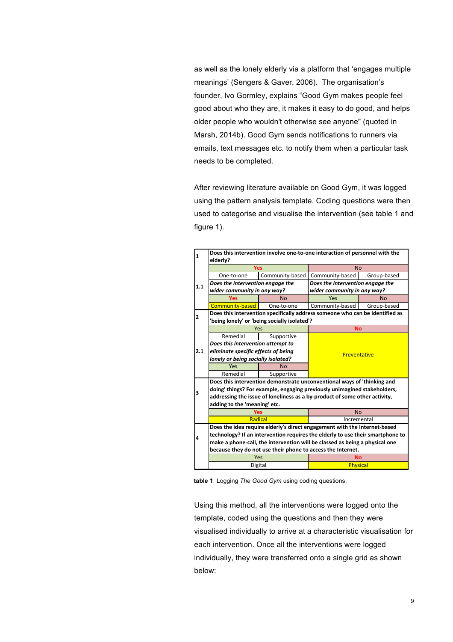as well as the lonely elderly via a platform that 'engages multiple meanings' (Sengers & Gaver, 2006). The organisation's founder, Ivo Gormley, explains "Good Gym makes people feel good about who they are, it makes it easy to do good, and helps older people who wouldn't otherwise see anyone" (quoted in Marsh, 2014b). Good Gym sends notifications to runners via emails, text messages etc. to notify them when a particular task needs to be completed.

After reviewing literature available on Good Gym, it was logged using the pattern analysis template. Coding questions were then used to categorise and visualise the intervention (see table 1 and figure 1).



**table 1** Logging *The Good Gym* using coding questions.

Using this method, all the interventions were logged onto the template, coded using the questions and then they were visualised individually to arrive at a characteristic visualisation for each intervention. Once all the interventions were logged individually, they were transferred onto a single grid as shown below: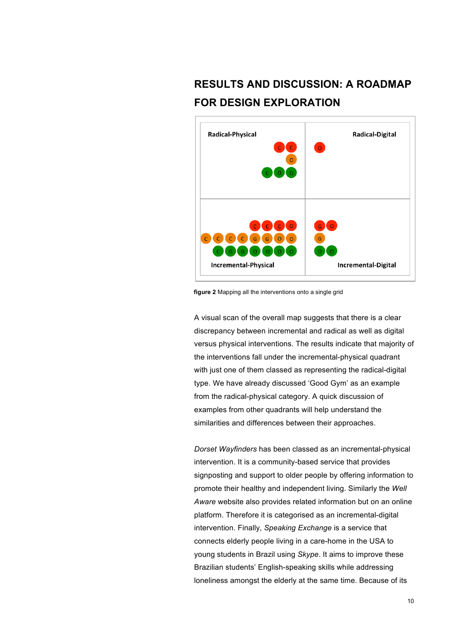# **RESULTS AND DISCUSSION: A ROADMAP FOR DESIGN EXPLORATION**



**figure 2** Mapping all the interventions onto a single grid

A visual scan of the overall map suggests that there is a clear discrepancy between incremental and radical as well as digital versus physical interventions. The results indicate that majority of the interventions fall under the incremental-physical quadrant with just one of them classed as representing the radical-digital type. We have already discussed 'Good Gym' as an example from the radical-physical category. A quick discussion of examples from other quadrants will help understand the similarities and differences between their approaches.

*Dorset Wayfinders* has been classed as an incremental-physical intervention. It is a community-based service that provides signposting and support to older people by offering information to promote their healthy and independent living. Similarly the *Well Aware* website also provides related information but on an online platform. Therefore it is categorised as an incremental-digital intervention. Finally, *Speaking Exchange* is a service that connects elderly people living in a care-home in the USA to young students in Brazil using *Skype*. It aims to improve these Brazilian students' English-speaking skills while addressing loneliness amongst the elderly at the same time. Because of its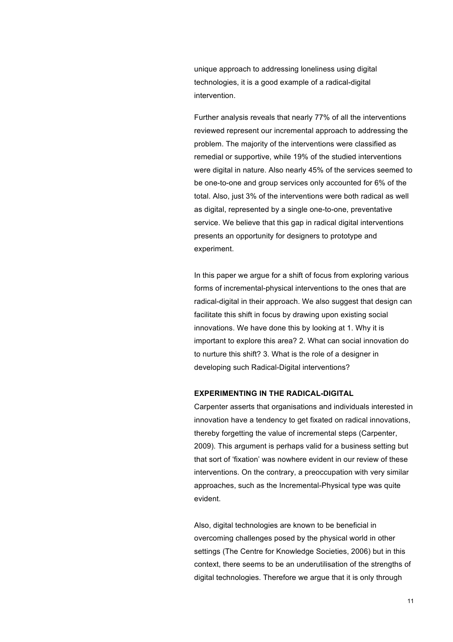unique approach to addressing loneliness using digital technologies, it is a good example of a radical-digital intervention.

Further analysis reveals that nearly 77% of all the interventions reviewed represent our incremental approach to addressing the problem. The majority of the interventions were classified as remedial or supportive, while 19% of the studied interventions were digital in nature. Also nearly 45% of the services seemed to be one-to-one and group services only accounted for 6% of the total. Also, just 3% of the interventions were both radical as well as digital, represented by a single one-to-one, preventative service. We believe that this gap in radical digital interventions presents an opportunity for designers to prototype and experiment.

In this paper we argue for a shift of focus from exploring various forms of incremental-physical interventions to the ones that are radical-digital in their approach. We also suggest that design can facilitate this shift in focus by drawing upon existing social innovations. We have done this by looking at 1. Why it is important to explore this area? 2. What can social innovation do to nurture this shift? 3. What is the role of a designer in developing such Radical-Digital interventions?

#### **EXPERIMENTING IN THE RADICAL-DIGITAL**

Carpenter asserts that organisations and individuals interested in innovation have a tendency to get fixated on radical innovations, thereby forgetting the value of incremental steps (Carpenter, 2009). This argument is perhaps valid for a business setting but that sort of 'fixation' was nowhere evident in our review of these interventions. On the contrary, a preoccupation with very similar approaches, such as the Incremental-Physical type was quite evident.

Also, digital technologies are known to be beneficial in overcoming challenges posed by the physical world in other settings (The Centre for Knowledge Societies, 2006) but in this context, there seems to be an underutilisation of the strengths of digital technologies. Therefore we argue that it is only through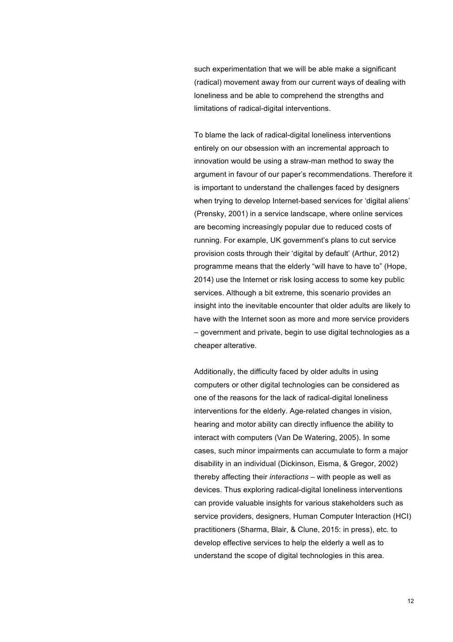such experimentation that we will be able make a significant (radical) movement away from our current ways of dealing with loneliness and be able to comprehend the strengths and limitations of radical-digital interventions.

To blame the lack of radical-digital loneliness interventions entirely on our obsession with an incremental approach to innovation would be using a straw-man method to sway the argument in favour of our paper's recommendations. Therefore it is important to understand the challenges faced by designers when trying to develop Internet-based services for 'digital aliens' (Prensky, 2001) in a service landscape, where online services are becoming increasingly popular due to reduced costs of running. For example, UK government's plans to cut service provision costs through their 'digital by default' (Arthur, 2012) programme means that the elderly "will have to have to" (Hope, 2014) use the Internet or risk losing access to some key public services. Although a bit extreme, this scenario provides an insight into the inevitable encounter that older adults are likely to have with the Internet soon as more and more service providers – government and private, begin to use digital technologies as a cheaper alterative.

Additionally, the difficulty faced by older adults in using computers or other digital technologies can be considered as one of the reasons for the lack of radical-digital loneliness interventions for the elderly. Age-related changes in vision, hearing and motor ability can directly influence the ability to interact with computers (Van De Watering, 2005). In some cases, such minor impairments can accumulate to form a major disability in an individual (Dickinson, Eisma, & Gregor, 2002) thereby affecting their *interactions* – with people as well as devices. Thus exploring radical-digital loneliness interventions can provide valuable insights for various stakeholders such as service providers, designers, Human Computer Interaction (HCI) practitioners (Sharma, Blair, & Clune, 2015: in press), etc. to develop effective services to help the elderly a well as to understand the scope of digital technologies in this area.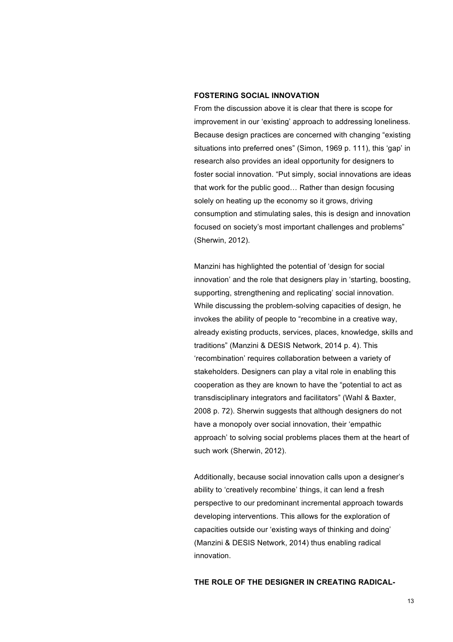## **FOSTERING SOCIAL INNOVATION**

From the discussion above it is clear that there is scope for improvement in our 'existing' approach to addressing loneliness. Because design practices are concerned with changing "existing situations into preferred ones" (Simon, 1969 p. 111), this 'gap' in research also provides an ideal opportunity for designers to foster social innovation. "Put simply, social innovations are ideas that work for the public good… Rather than design focusing solely on heating up the economy so it grows, driving consumption and stimulating sales, this is design and innovation focused on society's most important challenges and problems" (Sherwin, 2012).

Manzini has highlighted the potential of 'design for social innovation' and the role that designers play in 'starting, boosting, supporting, strengthening and replicating' social innovation. While discussing the problem-solving capacities of design, he invokes the ability of people to "recombine in a creative way, already existing products, services, places, knowledge, skills and traditions" (Manzini & DESIS Network, 2014 p. 4). This 'recombination' requires collaboration between a variety of stakeholders. Designers can play a vital role in enabling this cooperation as they are known to have the "potential to act as transdisciplinary integrators and facilitators" (Wahl & Baxter, 2008 p. 72). Sherwin suggests that although designers do not have a monopoly over social innovation, their 'empathic approach' to solving social problems places them at the heart of such work (Sherwin, 2012).

Additionally, because social innovation calls upon a designer's ability to 'creatively recombine' things, it can lend a fresh perspective to our predominant incremental approach towards developing interventions. This allows for the exploration of capacities outside our 'existing ways of thinking and doing' (Manzini & DESIS Network, 2014) thus enabling radical innovation.

# **THE ROLE OF THE DESIGNER IN CREATING RADICAL-**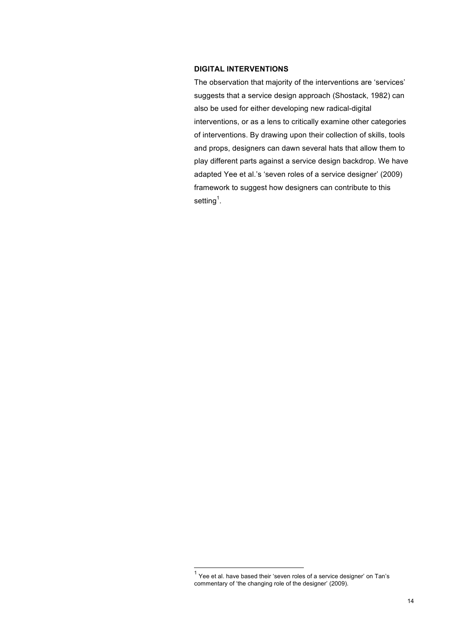## **DIGITAL INTERVENTIONS**

The observation that majority of the interventions are 'services' suggests that a service design approach (Shostack, 1982) can also be used for either developing new radical-digital interventions, or as a lens to critically examine other categories of interventions. By drawing upon their collection of skills, tools and props, designers can dawn several hats that allow them to play different parts against a service design backdrop. We have adapted Yee et al.'s 'seven roles of a service designer' (2009) framework to suggest how designers can contribute to this setting $^1$ .

 $1$  Yee et al. have based their 'seven roles of a service designer' on Tan's commentary of 'the changing role of the designer' (2009).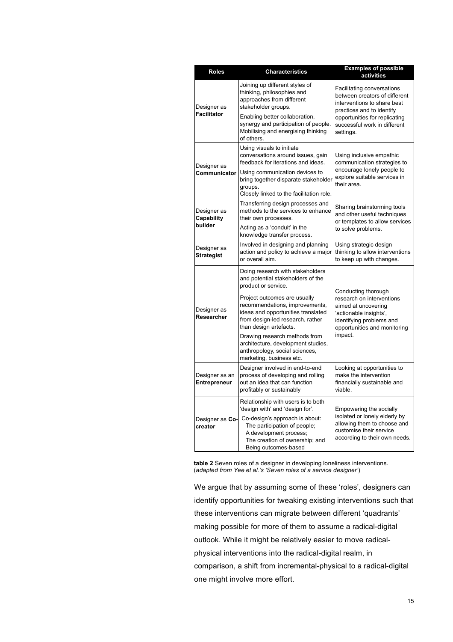| <b>Roles</b>                         | <b>Characteristics</b>                                                                                                                                             | <b>Examples of possible</b><br>activities                                                                                                                                |
|--------------------------------------|--------------------------------------------------------------------------------------------------------------------------------------------------------------------|--------------------------------------------------------------------------------------------------------------------------------------------------------------------------|
| Designer as<br>Facilitator           | Joining up different styles of<br>thinking, philosophies and<br>approaches from different<br>stakeholder groups.                                                   | Facilitating conversations<br>between creators of different<br>interventions to share best<br>practices and to identify                                                  |
|                                      | Enabling better collaboration,<br>synergy and participation of people.<br>Mobilising and energising thinking<br>of others.                                         | opportunities for replicating<br>successful work in different<br>settings.                                                                                               |
| Designer as<br>Communicator          | Using visuals to initiate<br>conversations around issues, gain<br>feedback for iterations and ideas.                                                               | Using inclusive empathic<br>communication strategies to<br>encourage lonely people to<br>explore suitable services in<br>their area.                                     |
|                                      | Using communication devices to<br>bring together disparate stakeholder<br>groups.<br>Closely linked to the facilitation role.                                      |                                                                                                                                                                          |
| Designer as<br>Capability<br>builder | Transferring design processes and<br>methods to the services to enhance<br>their own processes.                                                                    | Sharing brainstorming tools<br>and other useful techniques<br>or templates to allow services<br>to solve problems.                                                       |
|                                      | Acting as a 'conduit' in the<br>knowledge transfer process.                                                                                                        |                                                                                                                                                                          |
| Designer as<br><b>Strategist</b>     | Involved in designing and planning<br>action and policy to achieve a major<br>or overall aim.                                                                      | Using strategic design<br>thinking to allow interventions<br>to keep up with changes.                                                                                    |
| Designer as<br>Researcher            | Doing research with stakeholders<br>and potential stakeholders of the<br>product or service.                                                                       | Conducting thorough<br>research on interventions<br>aimed at uncovering<br>'actionable insights',<br>identifying problems and<br>opportunities and monitoring<br>impact. |
|                                      | Project outcomes are usually<br>recommendations, improvements,<br>ideas and opportunities translated<br>from design-led research, rather<br>than design artefacts. |                                                                                                                                                                          |
|                                      | Drawing research methods from<br>architecture, development studies,<br>anthropology, social sciences,<br>marketing, business etc.                                  |                                                                                                                                                                          |
| Designer as an<br>Entrepreneur       | Designer involved in end-to-end<br>process of developing and rolling<br>out an idea that can function<br>profitably or sustainably                                 | Looking at opportunities to<br>make the intervention<br>financially sustainable and<br>viable.                                                                           |
| Designer as Co-<br>creator           | Relationship with users is to both<br>'design with' and 'design for'.                                                                                              | Empowering the socially<br>isolated or lonely elderly by<br>allowing them to choose and<br>customise their service<br>according to their own needs.                      |
|                                      | Co-design's approach is about:<br>The participation of people;<br>A development process;<br>The creation of ownership; and<br>Being outcomes-based                 |                                                                                                                                                                          |

**table 2** Seven roles of a designer in developing loneliness interventions. (*adapted from Yee et al.'s 'Seven roles of a service designer'*)

We argue that by assuming some of these 'roles', designers can identify opportunities for tweaking existing interventions such that these interventions can migrate between different 'quadrants' making possible for more of them to assume a radical-digital outlook. While it might be relatively easier to move radicalphysical interventions into the radical-digital realm, in comparison, a shift from incremental-physical to a radical-digital one might involve more effort.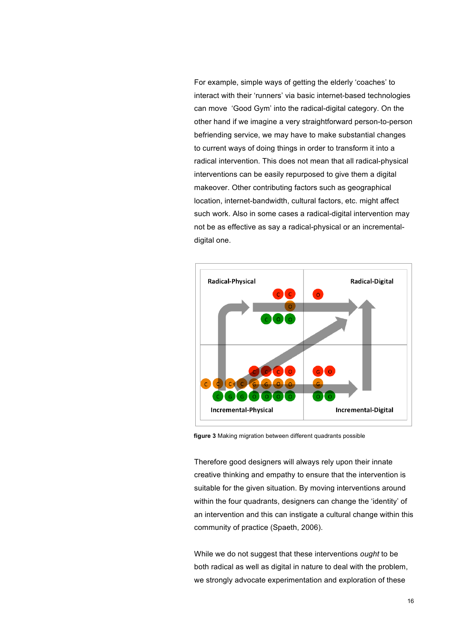For example, simple ways of getting the elderly 'coaches' to interact with their 'runners' via basic internet-based technologies can move 'Good Gym' into the radical-digital category. On the other hand if we imagine a very straightforward person-to-person befriending service, we may have to make substantial changes to current ways of doing things in order to transform it into a radical intervention. This does not mean that all radical-physical interventions can be easily repurposed to give them a digital makeover. Other contributing factors such as geographical location, internet-bandwidth, cultural factors, etc. might affect such work. Also in some cases a radical-digital intervention may not be as effective as say a radical-physical or an incrementaldigital one.



**figure 3** Making migration between different quadrants possible

Therefore good designers will always rely upon their innate creative thinking and empathy to ensure that the intervention is suitable for the given situation. By moving interventions around within the four quadrants, designers can change the 'identity' of an intervention and this can instigate a cultural change within this community of practice (Spaeth, 2006).

While we do not suggest that these interventions *ought* to be both radical as well as digital in nature to deal with the problem, we strongly advocate experimentation and exploration of these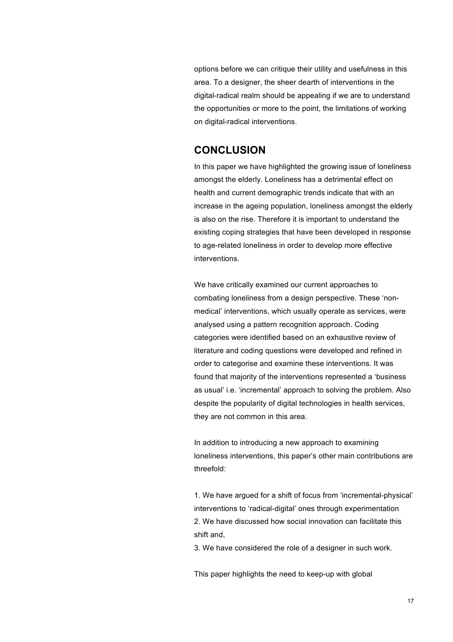options before we can critique their utility and usefulness in this area. To a designer, the sheer dearth of interventions in the digital-radical realm should be appealing if we are to understand the opportunities or more to the point, the limitations of working on digital-radical interventions.

# **CONCLUSION**

In this paper we have highlighted the growing issue of loneliness amongst the elderly. Loneliness has a detrimental effect on health and current demographic trends indicate that with an increase in the ageing population, loneliness amongst the elderly is also on the rise. Therefore it is important to understand the existing coping strategies that have been developed in response to age-related loneliness in order to develop more effective interventions.

We have critically examined our current approaches to combating loneliness from a design perspective. These 'nonmedical' interventions, which usually operate as services, were analysed using a pattern recognition approach. Coding categories were identified based on an exhaustive review of literature and coding questions were developed and refined in order to categorise and examine these interventions. It was found that majority of the interventions represented a 'business as usual' i.e. 'incremental' approach to solving the problem. Also despite the popularity of digital technologies in health services, they are not common in this area.

In addition to introducing a new approach to examining loneliness interventions, this paper's other main contributions are threefold:

1. We have argued for a shift of focus from 'incremental-physical' interventions to 'radical-digital' ones through experimentation 2. We have discussed how social innovation can facilitate this shift and,

3. We have considered the role of a designer in such work.

This paper highlights the need to keep-up with global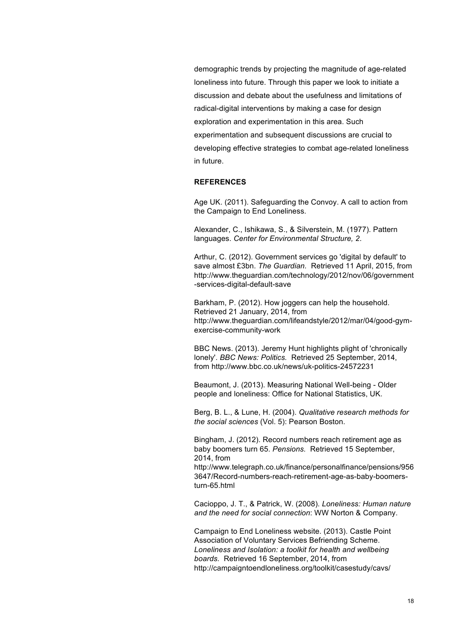demographic trends by projecting the magnitude of age-related loneliness into future. Through this paper we look to initiate a discussion and debate about the usefulness and limitations of radical-digital interventions by making a case for design exploration and experimentation in this area. Such experimentation and subsequent discussions are crucial to developing effective strategies to combat age-related loneliness in future.

## **REFERENCES**

Age UK. (2011). Safeguarding the Convoy. A call to action from the Campaign to End Loneliness.

Alexander, C., Ishikawa, S., & Silverstein, M. (1977). Pattern languages. *Center for Environmental Structure, 2*.

Arthur, C. (2012). Government services go 'digital by default' to save almost £3bn. *The Guardian.* Retrieved 11 April, 2015, from http://www.theguardian.com/technology/2012/nov/06/government -services-digital-default-save

Barkham, P. (2012). How joggers can help the household. Retrieved 21 January, 2014, from http://www.theguardian.com/lifeandstyle/2012/mar/04/good-gymexercise-community-work

BBC News. (2013). Jeremy Hunt highlights plight of 'chronically lonely'. *BBC News: Politics.* Retrieved 25 September, 2014, from http://www.bbc.co.uk/news/uk-politics-24572231

Beaumont, J. (2013). Measuring National Well-being - Older people and loneliness: Office for National Statistics, UK.

Berg, B. L., & Lune, H. (2004). *Qualitative research methods for the social sciences* (Vol. 5): Pearson Boston.

Bingham, J. (2012). Record numbers reach retirement age as baby boomers turn 65. *Pensions.* Retrieved 15 September, 2014, from

http://www.telegraph.co.uk/finance/personalfinance/pensions/956 3647/Record-numbers-reach-retirement-age-as-baby-boomersturn-65.html

Cacioppo, J. T., & Patrick, W. (2008). *Loneliness: Human nature and the need for social connection*: WW Norton & Company.

Campaign to End Loneliness website. (2013). Castle Point Association of Voluntary Services Befriending Scheme. *Loneliness and Isolation: a toolkit for health and wellbeing boards.* Retrieved 16 September, 2014, from http://campaigntoendloneliness.org/toolkit/casestudy/cavs/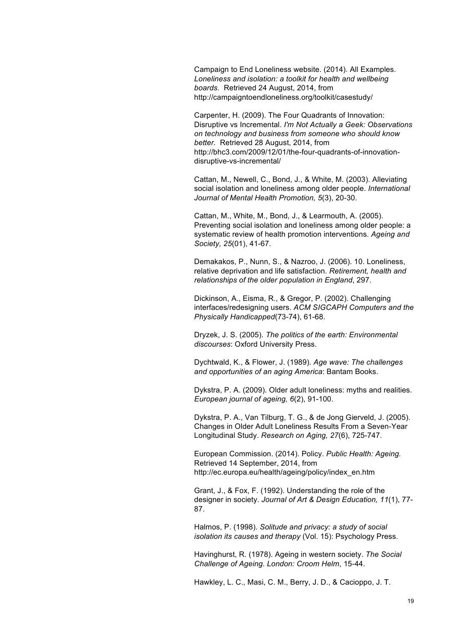Campaign to End Loneliness website. (2014). All Examples. *Loneliness and isolation: a toolkit for health and wellbeing boards.* Retrieved 24 August, 2014, from http://campaigntoendloneliness.org/toolkit/casestudy/

Carpenter, H. (2009). The Four Quadrants of Innovation: Disruptive vs Incremental. *I'm Not Actually a Geek: Observations on technology and business from someone who should know better.* Retrieved 28 August, 2014, from http://bhc3.com/2009/12/01/the-four-quadrants-of-innovationdisruptive-vs-incremental/

Cattan, M., Newell, C., Bond, J., & White, M. (2003). Alleviating social isolation and loneliness among older people. *International Journal of Mental Health Promotion, 5*(3), 20-30.

Cattan, M., White, M., Bond, J., & Learmouth, A. (2005). Preventing social isolation and loneliness among older people: a systematic review of health promotion interventions. *Ageing and Society, 25*(01), 41-67.

Demakakos, P., Nunn, S., & Nazroo, J. (2006). 10. Loneliness, relative deprivation and life satisfaction. *Retirement, health and relationships of the older population in England*, 297.

Dickinson, A., Eisma, R., & Gregor, P. (2002). Challenging interfaces/redesigning users. *ACM SIGCAPH Computers and the Physically Handicapped*(73-74), 61-68.

Dryzek, J. S. (2005). *The politics of the earth: Environmental discourses*: Oxford University Press.

Dychtwald, K., & Flower, J. (1989). *Age wave: The challenges and opportunities of an aging America*: Bantam Books.

Dykstra, P. A. (2009). Older adult loneliness: myths and realities. *European journal of ageing, 6*(2), 91-100.

Dykstra, P. A., Van Tilburg, T. G., & de Jong Gierveld, J. (2005). Changes in Older Adult Loneliness Results From a Seven-Year Longitudinal Study. *Research on Aging, 27*(6), 725-747.

European Commission. (2014). Policy. *Public Health: Ageing.* Retrieved 14 September, 2014, from http://ec.europa.eu/health/ageing/policy/index\_en.htm

Grant, J., & Fox, F. (1992). Understanding the role of the designer in society. *Journal of Art & Design Education, 11*(1), 77- 87.

Halmos, P. (1998). *Solitude and privacy: a study of social isolation its causes and therapy* (Vol. 15): Psychology Press.

Havinghurst, R. (1978). Ageing in western society. *The Social Challenge of Ageing. London: Croom Helm*, 15-44.

Hawkley, L. C., Masi, C. M., Berry, J. D., & Cacioppo, J. T.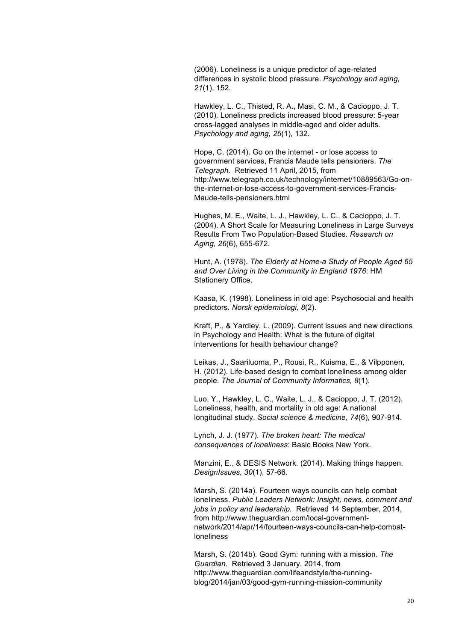(2006). Loneliness is a unique predictor of age-related differences in systolic blood pressure. *Psychology and aging, 21*(1), 152.

Hawkley, L. C., Thisted, R. A., Masi, C. M., & Cacioppo, J. T. (2010). Loneliness predicts increased blood pressure: 5-year cross-lagged analyses in middle-aged and older adults. *Psychology and aging, 25*(1), 132.

Hope, C. (2014). Go on the internet - or lose access to government services, Francis Maude tells pensioners. *The Telegraph.* Retrieved 11 April, 2015, from http://www.telegraph.co.uk/technology/internet/10889563/Go-onthe-internet-or-lose-access-to-government-services-Francis-Maude-tells-pensioners.html

Hughes, M. E., Waite, L. J., Hawkley, L. C., & Cacioppo, J. T. (2004). A Short Scale for Measuring Loneliness in Large Surveys Results From Two Population-Based Studies. *Research on Aging, 26*(6), 655-672.

Hunt, A. (1978). *The Elderly at Home-a Study of People Aged 65 and Over Living in the Community in England 1976*: HM Stationery Office.

Kaasa, K. (1998). Loneliness in old age: Psychosocial and health predictors. *Norsk epidemiologi, 8*(2).

Kraft, P., & Yardley, L. (2009). Current issues and new directions in Psychology and Health: What is the future of digital interventions for health behaviour change?

Leikas, J., Saariluoma, P., Rousi, R., Kuisma, E., & Vilpponen, H. (2012). Life-based design to combat loneliness among older people. *The Journal of Community Informatics, 8*(1).

Luo, Y., Hawkley, L. C., Waite, L. J., & Cacioppo, J. T. (2012). Loneliness, health, and mortality in old age: A national longitudinal study. *Social science & medicine, 74*(6), 907-914.

Lynch, J. J. (1977). *The broken heart: The medical consequences of loneliness*: Basic Books New York.

Manzini, E., & DESIS Network. (2014). Making things happen. *DesignIssues, 30*(1), 57-66.

Marsh, S. (2014a). Fourteen ways councils can help combat loneliness. *Public Leaders Network: Insight, news, comment and jobs in policy and leadership.* Retrieved 14 September, 2014, from http://www.theguardian.com/local-governmentnetwork/2014/apr/14/fourteen-ways-councils-can-help-combatloneliness

Marsh, S. (2014b). Good Gym: running with a mission. *The Guardian.* Retrieved 3 January, 2014, from http://www.theguardian.com/lifeandstyle/the-runningblog/2014/jan/03/good-gym-running-mission-community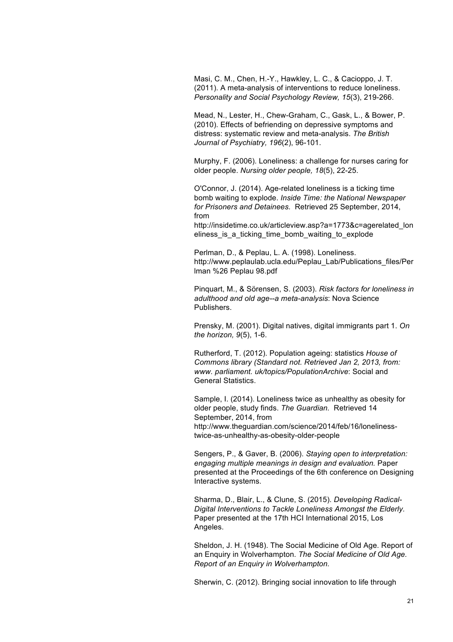Masi, C. M., Chen, H.-Y., Hawkley, L. C., & Cacioppo, J. T. (2011). A meta-analysis of interventions to reduce loneliness. *Personality and Social Psychology Review, 15*(3), 219-266.

Mead, N., Lester, H., Chew-Graham, C., Gask, L., & Bower, P. (2010). Effects of befriending on depressive symptoms and distress: systematic review and meta-analysis. *The British Journal of Psychiatry, 196*(2), 96-101.

Murphy, F. (2006). Loneliness: a challenge for nurses caring for older people. *Nursing older people, 18*(5), 22-25.

O'Connor, J. (2014). Age-related loneliness is a ticking time bomb waiting to explode. *Inside Time: the National Newspaper for Prisoners and Detainees.* Retrieved 25 September, 2014, from

http://insidetime.co.uk/articleview.asp?a=1773&c=agerelated\_lon eliness\_is\_a\_ticking\_time\_bomb\_waiting\_to\_explode

Perlman, D., & Peplau, L. A. (1998). Loneliness. http://www.peplaulab.ucla.edu/Peplau\_Lab/Publications\_files/Per lman %26 Peplau 98.pdf

Pinquart, M., & Sörensen, S. (2003). *Risk factors for loneliness in adulthood and old age--a meta-analysis*: Nova Science Publishers.

Prensky, M. (2001). Digital natives, digital immigrants part 1. *On the horizon, 9*(5), 1-6.

Rutherford, T. (2012). Population ageing: statistics *House of Commons library (Standard not. Retrieved Jan 2, 2013, from: www. parliament. uk/topics/PopulationArchive*: Social and General Statistics.

Sample, I. (2014). Loneliness twice as unhealthy as obesity for older people, study finds. *The Guardian.* Retrieved 14 September, 2014, from http://www.theguardian.com/science/2014/feb/16/lonelinesstwice-as-unhealthy-as-obesity-older-people

Sengers, P., & Gaver, B. (2006). *Staying open to interpretation: engaging multiple meanings in design and evaluation.* Paper presented at the Proceedings of the 6th conference on Designing Interactive systems.

Sharma, D., Blair, L., & Clune, S. (2015). *Developing Radical-Digital Interventions to Tackle Loneliness Amongst the Elderly.* Paper presented at the 17th HCI International 2015, Los Angeles.

Sheldon, J. H. (1948). The Social Medicine of Old Age. Report of an Enquiry in Wolverhampton. *The Social Medicine of Old Age. Report of an Enquiry in Wolverhampton.*

Sherwin, C. (2012). Bringing social innovation to life through